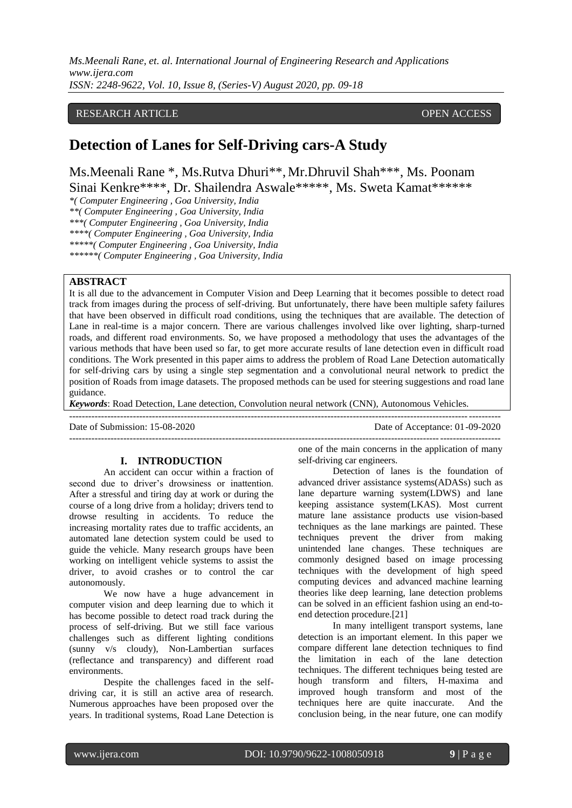# RESEARCH ARTICLE **CONSERVERS** OPEN ACCESS

# **Detection of Lanes for Self-Driving cars-A Study**

Ms.Meenali Rane \*, Ms.Rutva Dhuri\*\*, Mr.Dhruvil Shah\*\*\*, Ms. Poonam Sinai Kenkre\*\*\*\*, Dr. Shailendra Aswale\*\*\*\*\*, Ms. Sweta Kamat\*\*\*\*\*\*

*\*( Computer Engineering , Goa University, India \*\*( Computer Engineering , Goa University, India \*\*\*( Computer Engineering , Goa University, India \*\*\*\*( Computer Engineering , Goa University, India \*\*\*\*\*( Computer Engineering , Goa University, India \*\*\*\*\*\*( Computer Engineering , Goa University, India* 

#### **ABSTRACT**

It is all due to the advancement in Computer Vision and Deep Learning that it becomes possible to detect road track from images during the process of self-driving. But unfortunately, there have been multiple safety failures that have been observed in difficult road conditions, using the techniques that are available. The detection of Lane in real-time is a major concern. There are various challenges involved like over lighting, sharp-turned roads, and different road environments. So, we have proposed a methodology that uses the advantages of the various methods that have been used so far, to get more accurate results of lane detection even in difficult road conditions. The Work presented in this paper aims to address the problem of Road Lane Detection automatically for self-driving cars by using a single step segmentation and a convolutional neural network to predict the position of Roads from image datasets. The proposed methods can be used for steering suggestions and road lane guidance.

*Keywords*: Road Detection, Lane detection, Convolution neural network (CNN), Autonomous Vehicles.

---------------------------------------------------------------------------------------------------------------------------------------

Date of Submission: 15-08-2020 Date of Acceptance: 01-09-2020

#### **I. INTRODUCTION**

An accident can occur within a fraction of second due to driver's drowsiness or inattention. After a stressful and tiring day at work or during the course of a long drive from a holiday; drivers tend to drowse resulting in accidents. To reduce the increasing mortality rates due to traffic accidents, an automated lane detection system could be used to guide the vehicle. Many research groups have been working on intelligent vehicle systems to assist the driver, to avoid crashes or to control the car autonomously.

We now have a huge advancement in computer vision and deep learning due to which it has become possible to detect road track during the process of self-driving. But we still face various challenges such as different lighting conditions (sunny v/s cloudy), Non-Lambertian surfaces (reflectance and transparency) and different road environments.

Despite the challenges faced in the selfdriving car, it is still an active area of research. Numerous approaches have been proposed over the years. In traditional systems, Road Lane Detection is one of the main concerns in the application of many self-driving car engineers.

---------------------------------------------------------------------------------------------------------------------------------------

Detection of lanes is the foundation of advanced driver assistance systems(ADASs) such as lane departure warning system(LDWS) and lane keeping assistance system(LKAS). Most current mature lane assistance products use vision-based techniques as the lane markings are painted. These techniques prevent the driver from making unintended lane changes. These techniques are commonly designed based on image processing techniques with the development of high speed computing devices and advanced machine learning theories like deep learning, lane detection problems can be solved in an efficient fashion using an end-toend detection procedure.[21]

In many intelligent transport systems, lane detection is an important element. In this paper we compare different lane detection techniques to find the limitation in each of the lane detection techniques. The different techniques being tested are hough transform and filters, H-maxima and improved hough transform and most of the techniques here are quite inaccurate. And the conclusion being, in the near future, one can modify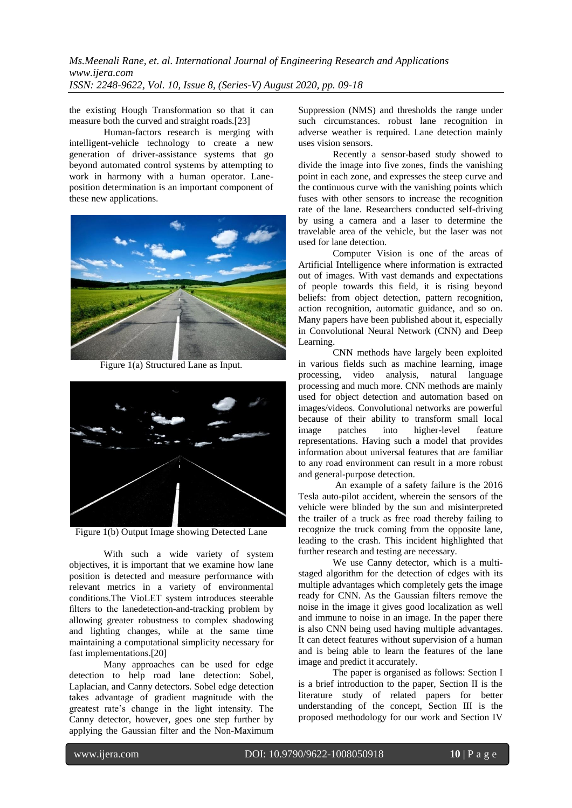the existing Hough Transformation so that it can measure both the curved and straight roads.[23]

Human-factors research is merging with intelligent-vehicle technology to create a new generation of driver-assistance systems that go beyond automated control systems by attempting to work in harmony with a human operator. Laneposition determination is an important component of these new applications.



Figure 1(a) Structured Lane as Input.



Figure 1(b) Output Image showing Detected Lane

With such a wide variety of system objectives, it is important that we examine how lane position is detected and measure performance with relevant metrics in a variety of environmental conditions.The VioLET system introduces steerable filters to the lanedetection-and-tracking problem by allowing greater robustness to complex shadowing and lighting changes, while at the same time maintaining a computational simplicity necessary for fast implementations.[20]

Many approaches can be used for edge detection to help road lane detection: Sobel, Laplacian, and Canny detectors. Sobel edge detection takes advantage of gradient magnitude with the greatest rate's change in the light intensity. The Canny detector, however, goes one step further by applying the Gaussian filter and the Non-Maximum Suppression (NMS) and thresholds the range under such circumstances. robust lane recognition in adverse weather is required. Lane detection mainly uses vision sensors.

Recently a sensor-based study showed to divide the image into five zones, finds the vanishing point in each zone, and expresses the steep curve and the continuous curve with the vanishing points which fuses with other sensors to increase the recognition rate of the lane. Researchers conducted self-driving by using a camera and a laser to determine the travelable area of the vehicle, but the laser was not used for lane detection.

Computer Vision is one of the areas of Artificial Intelligence where information is extracted out of images. With vast demands and expectations of people towards this field, it is rising beyond beliefs: from object detection, pattern recognition, action recognition, automatic guidance, and so on. Many papers have been published about it, especially in Convolutional Neural Network (CNN) and Deep Learning.

CNN methods have largely been exploited in various fields such as machine learning, image processing, video analysis, natural language processing and much more. CNN methods are mainly used for object detection and automation based on images/videos. Convolutional networks are powerful because of their ability to transform small local image patches into higher-level feature representations. Having such a model that provides information about universal features that are familiar to any road environment can result in a more robust and general-purpose detection.

An example of a safety failure is the 2016 Tesla auto-pilot accident, wherein the sensors of the vehicle were blinded by the sun and misinterpreted the trailer of a truck as free road thereby failing to recognize the truck coming from the opposite lane, leading to the crash. This incident highlighted that further research and testing are necessary.

We use Canny detector, which is a multistaged algorithm for the detection of edges with its multiple advantages which completely gets the image ready for CNN. As the Gaussian filters remove the noise in the image it gives good localization as well and immune to noise in an image. In the paper there is also CNN being used having multiple advantages. It can detect features without supervision of a human and is being able to learn the features of the lane image and predict it accurately.

The paper is organised as follows: Section I is a brief introduction to the paper, Section II is the literature study of related papers for better understanding of the concept, Section III is the proposed methodology for our work and Section IV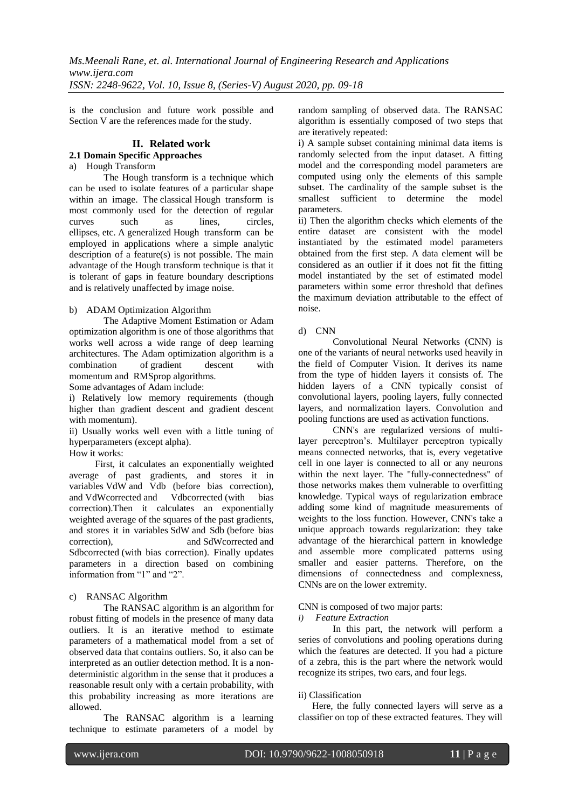is the conclusion and future work possible and Section V are the references made for the study.

# **II. Related work**

#### **2.1 Domain Specific Approaches**

# a) Hough Transform

The Hough transform is a technique which can be used to isolate features of a particular shape within an image. The classical Hough transform is most commonly used for the detection of regular curves such as lines, circles, ellipses, etc. A generalized Hough transform can be employed in applications where a simple analytic description of a feature(s) is not possible. The main advantage of the Hough transform technique is that it is tolerant of gaps in feature boundary descriptions and is relatively unaffected by image noise.

# b) ADAM Optimization Algorithm

The Adaptive Moment Estimation or Adam optimization algorithm is one of those algorithms that works well across a wide range of deep learning architectures. The Adam optimization algorithm is a combination of [gradient descent with](https://engmrk.com/gradient-descent-with-momentum/)  [momentum](https://engmrk.com/gradient-descent-with-momentum/) and [RMSprop](https://engmrk.com/rmsprop/) algorithms.

Some advantages of Adam include:

i) Relatively low memory requirements (though higher than gradient descent and gradient descent with momentum).

ii) Usually works well even with a little tuning of hyperparameters (except alpha).

How it works:

First, it calculates an exponentially weighted average of past gradients, and stores it in variables VdW and Vdb (before bias correction), and VdWcorrected and Vdbcorrected (with bias correction).Then it calculates an exponentially weighted average of the squares of the past gradients, and stores it in variables SdW and Sdb (before bias correction), and SdWcorrected and Sdbcorrected (with bias correction). Finally updates parameters in a direction based on combining information from "1" and "2".

# c) RANSAC Algorithm

The RANSAC algorithm is an algorithm for robust fitting of models in the presence of many data outliers. It is an iterative method to estimate parameters of a mathematical model from a set of observed data that contains outliers. So, it also can be interpreted as an outlier detection method. It is a nondeterministic algorithm in the sense that it produces a reasonable result only with a certain probability, with this probability increasing as more iterations are allowed.

The RANSAC algorithm is a learning technique to estimate parameters of a model by

random sampling of observed data. The RANSAC algorithm is essentially composed of two steps that are iteratively repeated:

i) A sample subset containing minimal data items is randomly selected from the input dataset. A fitting model and the corresponding model parameters are computed using only the elements of this sample subset. The cardinality of the sample subset is the smallest sufficient to determine the model parameters.

ii) Then the algorithm checks which elements of the entire dataset are consistent with the model instantiated by the estimated model parameters obtained from the first step. A data element will be considered as an outlier if it does not fit the fitting model instantiated by the set of estimated model parameters within some error threshold that defines the maximum deviation attributable to the effect of noise.

# d) CNN

Convolutional Neural Networks (CNN) is one of the variants of neural networks used heavily in the field of Computer Vision. It derives its name from the type of hidden layers it consists of. The hidden layers of a CNN typically consist of convolutional layers, pooling layers, fully connected layers, and normalization layers. Convolution and pooling functions are used as activation functions.

CNN's are regularized versions of multilayer perceptron's. Multilayer perceptron typically means connected networks, that is, every vegetative cell in one layer is connected to all or any neurons within the next layer. The "fully-connectedness" of those networks makes them vulnerable to overfitting knowledge. Typical ways of regularization embrace adding some kind of magnitude measurements of weights to the loss function. However, CNN's take a unique approach towards regularization: they take advantage of the hierarchical pattern in knowledge and assemble more complicated patterns using smaller and easier patterns. Therefore, on the dimensions of connectedness and complexness, CNNs are on the lower extremity.

# CNN is composed of two major parts:

*i) Feature Extraction*

In this part, the network will perform a series of convolutions and pooling operations during which the features are detected. If you had a picture of a zebra, this is the part where the network would recognize its stripes, two ears, and four legs.

# ii) Classification

Here, the fully connected layers will serve as a classifier on top of these extracted features. They will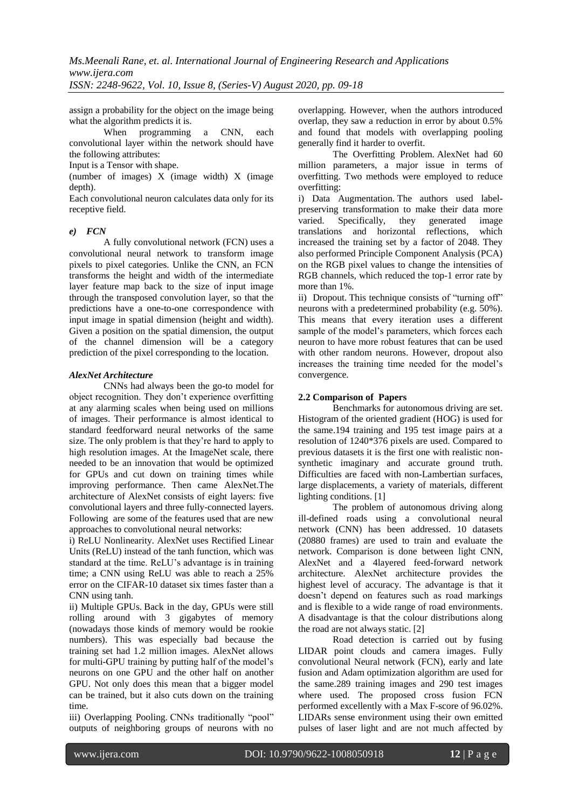*Ms.Meenali Rane, et. al. International Journal of Engineering Research and Applications www.ijera.com*

*ISSN: 2248-9622, Vol. 10, Issue 8, (Series-V) August 2020, pp. 09-18*

assign a probability for the object on the image being what the algorithm predicts it is.

When programming a CNN, each convolutional layer within the network should have the following attributes:

Input is a Tensor with shape.

(number of images) X (image width) X (image depth).

Each convolutional neuron calculates data only for its receptive field.

# *e) FCN*

A fully convolutional network (FCN) uses a convolutional neural network to transform image pixels to pixel categories. Unlike the CNN, an FCN transforms the height and width of the intermediate layer feature map back to the size of input image through the transposed convolution layer, so that the predictions have a one-to-one correspondence with input image in spatial dimension (height and width). Given a position on the spatial dimension, the output of the channel dimension will be a category prediction of the pixel corresponding to the location.

## *AlexNet Architecture*

CNNs had always been the go-to model for object recognition. They don't experience overfitting at any alarming scales when being used on millions of images. Their performance is almost identical to standard feedforward neural networks of the same size. The only problem is that they're hard to apply to high resolution images. At the ImageNet scale, there needed to be an innovation that would be optimized for GPUs and cut down on training times while improving performance. Then came AlexNet.The architecture of AlexNet consists of eight layers: five convolutional layers and three fully-connected layers. Following are some of the features used that are new approaches to convolutional neural networks:

i) ReLU Nonlinearity. AlexNet uses Rectified Linear Units (ReLU) instead of the tanh function, which was standard at the time. ReLU's advantage is in training time; a CNN using ReLU was able to reach a 25% error on the CIFAR-10 dataset six times faster than a CNN using tanh.

ii) Multiple GPUs. Back in the day, GPUs were still rolling around with 3 gigabytes of memory (nowadays those kinds of memory would be rookie numbers). This was especially bad because the training set had 1.2 million images. AlexNet allows for multi-GPU training by putting half of the model's neurons on one GPU and the other half on another GPU. Not only does this mean that a bigger model can be trained, but it also cuts down on the training time.

iii) Overlapping Pooling. CNNs traditionally "pool" outputs of neighboring groups of neurons with no overlapping. However, when the authors introduced overlap, they saw a reduction in error by about 0.5% and found that models with overlapping pooling generally find it harder to overfit.

The Overfitting Problem. AlexNet had 60 million parameters, a major issue in terms of overfitting. Two methods were employed to reduce overfitting:

i) Data Augmentation. The authors used labelpreserving transformation to make their data more varied. Specifically, they generated image translations and horizontal reflections, which increased the training set by a factor of 2048. They also performed Principle Component Analysis (PCA) on the RGB pixel values to change the intensities of RGB channels, which reduced the top-1 error rate by more than 1%.

ii) Dropout. This technique consists of "turning off" neurons with a predetermined probability (e.g. 50%). This means that every iteration uses a different sample of the model's parameters, which forces each neuron to have more robust features that can be used with other random neurons. However, dropout also increases the training time needed for the model's convergence.

# **2.2 Comparison of Papers**

Benchmarks for autonomous driving are set. Histogram of the oriented gradient (HOG) is used for the same.194 training and 195 test image pairs at a resolution of 1240\*376 pixels are used. Compared to previous datasets it is the first one with realistic nonsynthetic imaginary and accurate ground truth. Difficulties are faced with non-Lambertian surfaces, large displacements, a variety of materials, different lighting conditions. [1]

The problem of autonomous driving along ill-defined roads using a convolutional neural network (CNN) has been addressed. 10 datasets (20880 frames) are used to train and evaluate the network. Comparison is done between light CNN, AlexNet and a 4layered feed-forward network architecture. AlexNet architecture provides the highest level of accuracy. The advantage is that it doesn't depend on features such as road markings and is flexible to a wide range of road environments. A disadvantage is that the colour distributions along the road are not always static. [2]

Road detection is carried out by fusing LIDAR point clouds and camera images. Fully convolutional Neural network (FCN), early and late fusion and Adam optimization algorithm are used for the same.289 training images and 290 test images where used. The proposed cross fusion FCN performed excellently with a Max F-score of 96.02%. LIDARs sense environment using their own emitted pulses of laser light and are not much affected by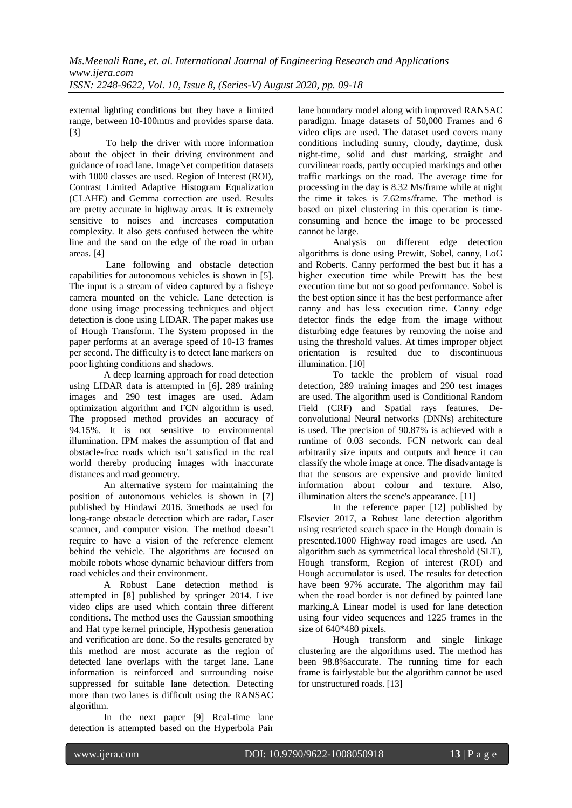external lighting conditions but they have a limited range, between 10-100mtrs and provides sparse data. [3]

To help the driver with more information about the object in their driving environment and guidance of road lane. ImageNet competition datasets with 1000 classes are used. Region of Interest (ROI), Contrast Limited Adaptive Histogram Equalization (CLAHE) and Gemma correction are used. Results are pretty accurate in highway areas. It is extremely sensitive to noises and increases computation complexity. It also gets confused between the white line and the sand on the edge of the road in urban areas. [4]

Lane following and obstacle detection capabilities for autonomous vehicles is shown in [5]. The input is a stream of video captured by a fisheye camera mounted on the vehicle. Lane detection is done using image processing techniques and object detection is done using LIDAR. The paper makes use of Hough Transform. The System proposed in the paper performs at an average speed of 10-13 frames per second. The difficulty is to detect lane markers on poor lighting conditions and shadows.

A deep learning approach for road detection using LIDAR data is attempted in [6]. 289 training images and 290 test images are used. Adam optimization algorithm and FCN algorithm is used. The proposed method provides an accuracy of 94.15%. It is not sensitive to environmental illumination. IPM makes the assumption of flat and obstacle-free roads which isn't satisfied in the real world thereby producing images with inaccurate distances and road geometry.

An alternative system for maintaining the position of autonomous vehicles is shown in [7] published by Hindawi 2016. 3methods ae used for long-range obstacle detection which are radar, Laser scanner, and computer vision. The method doesn't require to have a vision of the reference element behind the vehicle. The algorithms are focused on mobile robots whose dynamic behaviour differs from road vehicles and their environment.

A Robust Lane detection method is attempted in [8] published by springer 2014. Live video clips are used which contain three different conditions. The method uses the Gaussian smoothing and Hat type kernel principle, Hypothesis generation and verification are done. So the results generated by this method are most accurate as the region of detected lane overlaps with the target lane. Lane information is reinforced and surrounding noise suppressed for suitable lane detection. Detecting more than two lanes is difficult using the RANSAC algorithm.

In the next paper [9] Real-time lane detection is attempted based on the Hyperbola Pair lane boundary model along with improved RANSAC paradigm. Image datasets of 50,000 Frames and 6 video clips are used. The dataset used covers many conditions including sunny, cloudy, daytime, dusk night-time, solid and dust marking, straight and curvilinear roads, partly occupied markings and other traffic markings on the road. The average time for processing in the day is 8.32 Ms/frame while at night the time it takes is 7.62ms/frame. The method is based on pixel clustering in this operation is timeconsuming and hence the image to be processed cannot be large.

Analysis on different edge detection algorithms is done using Prewitt, Sobel, canny, LoG and Roberts. Canny performed the best but it has a higher execution time while Prewitt has the best execution time but not so good performance. Sobel is the best option since it has the best performance after canny and has less execution time. Canny edge detector finds the edge from the image without disturbing edge features by removing the noise and using the threshold values. At times improper object orientation is resulted due to discontinuous illumination. [10]

To tackle the problem of visual road detection, 289 training images and 290 test images are used. The algorithm used is Conditional Random Field (CRF) and Spatial rays features. Deconvolutional Neural networks (DNNs) architecture is used. The precision of 90.87% is achieved with a runtime of 0.03 seconds. FCN network can deal arbitrarily size inputs and outputs and hence it can classify the whole image at once. The disadvantage is that the sensors are expensive and provide limited information about colour and texture. Also, illumination alters the scene's appearance. [11]

In the reference paper [12] published by Elsevier 2017, a Robust lane detection algorithm using restricted search space in the Hough domain is presented.1000 Highway road images are used. An algorithm such as symmetrical local threshold (SLT), Hough transform, Region of interest (ROI) and Hough accumulator is used. The results for detection have been 97% accurate. The algorithm may fail when the road border is not defined by painted lane marking.A Linear model is used for lane detection using four video sequences and 1225 frames in the size of 640\*480 pixels.

Hough transform and single linkage clustering are the algorithms used. The method has been 98.8%accurate. The running time for each frame is fairlystable but the algorithm cannot be used for unstructured roads. [13]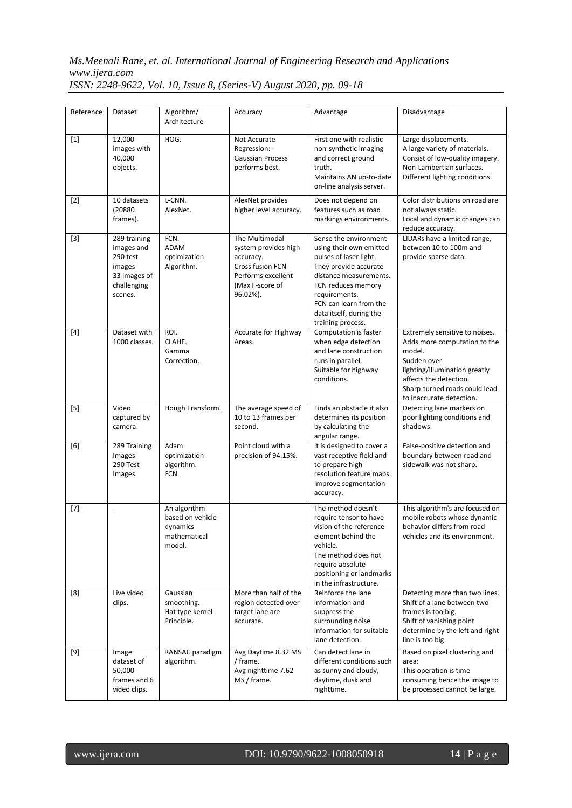| Reference | Dataset                                                                                    | Algorithm/<br>Architecture                                             | Accuracy                                                                                                                     | Advantage                                                                                                                                                                                                                                      | Disadvantage                                                                                                                                                                                                    |
|-----------|--------------------------------------------------------------------------------------------|------------------------------------------------------------------------|------------------------------------------------------------------------------------------------------------------------------|------------------------------------------------------------------------------------------------------------------------------------------------------------------------------------------------------------------------------------------------|-----------------------------------------------------------------------------------------------------------------------------------------------------------------------------------------------------------------|
| $[1]$     | 12,000<br>images with<br>40,000<br>objects.                                                | HOG.                                                                   | Not Accurate<br>Regression: -<br><b>Gaussian Process</b><br>performs best.                                                   | First one with realistic<br>non-synthetic imaging<br>and correct ground<br>truth.<br>Maintains AN up-to-date<br>on-line analysis server.                                                                                                       | Large displacements.<br>A large variety of materials.<br>Consist of low-quality imagery.<br>Non-Lambertian surfaces.<br>Different lighting conditions.                                                          |
| $[2]$     | 10 datasets<br>(20880<br>frames).                                                          | L-CNN.<br>AlexNet.                                                     | AlexNet provides<br>higher level accuracy.                                                                                   | Does not depend on<br>features such as road<br>markings environments.                                                                                                                                                                          | Color distributions on road are<br>not always static.<br>Local and dynamic changes can<br>reduce accuracy.                                                                                                      |
| $[3]$     | 289 training<br>images and<br>290 test<br>images<br>33 images of<br>challenging<br>scenes. | FCN.<br><b>ADAM</b><br>optimization<br>Algorithm.                      | The Multimodal<br>system provides high<br>accuracy.<br>Cross fusion FCN<br>Performs excellent<br>(Max F-score of<br>96.02%). | Sense the environment<br>using their own emitted<br>pulses of laser light.<br>They provide accurate<br>distance measurements.<br>FCN reduces memory<br>requirements.<br>FCN can learn from the<br>data itself, during the<br>training process. | LIDARs have a limited range,<br>between 10 to 100m and<br>provide sparse data.                                                                                                                                  |
| $[4]$     | Dataset with<br>1000 classes.                                                              | ROI.<br>CLAHE.<br>Gamma<br>Correction.                                 | Accurate for Highway<br>Areas.                                                                                               | Computation is faster<br>when edge detection<br>and lane construction<br>runs in parallel.<br>Suitable for highway<br>conditions.                                                                                                              | Extremely sensitive to noises.<br>Adds more computation to the<br>model.<br>Sudden over<br>lighting/illumination greatly<br>affects the detection.<br>Sharp-turned roads could lead<br>to inaccurate detection. |
| $[5]$     | Video<br>captured by<br>camera.                                                            | Hough Transform.                                                       | The average speed of<br>10 to 13 frames per<br>second.                                                                       | Finds an obstacle it also<br>determines its position<br>by calculating the<br>angular range.                                                                                                                                                   | Detecting lane markers on<br>poor lighting conditions and<br>shadows.                                                                                                                                           |
| [6]       | 289 Training<br>Images<br>290 Test<br>Images.                                              | Adam<br>optimization<br>algorithm.<br>FCN.                             | Point cloud with a<br>precision of 94.15%.                                                                                   | It is designed to cover a<br>vast receptive field and<br>to prepare high-<br>resolution feature maps.<br>Improve segmentation<br>accuracy.                                                                                                     | False-positive detection and<br>boundary between road and<br>sidewalk was not sharp.                                                                                                                            |
| $[7]$     | $\frac{1}{2}$                                                                              | An algorithm<br>based on vehicle<br>dynamics<br>mathematical<br>model. |                                                                                                                              | The method doesn't<br>require tensor to have<br>vision of the reference<br>element behind the<br>vehicle.<br>The method does not<br>require absolute<br>positioning or landmarks<br>in the infrastructure.                                     | This algorithm's are focused on<br>mobile robots whose dynamic<br>behavior differs from road<br>vehicles and its environment.                                                                                   |
| [8]       | Live video<br>clips.                                                                       | Gaussian<br>smoothing.<br>Hat type kernel<br>Principle.                | More than half of the<br>region detected over<br>target lane are<br>accurate.                                                | Reinforce the lane<br>information and<br>suppress the<br>surrounding noise<br>information for suitable<br>lane detection.                                                                                                                      | Detecting more than two lines.<br>Shift of a lane between two<br>frames is too big.<br>Shift of vanishing point<br>determine by the left and right<br>line is too big.                                          |
| $[9]$     | Image<br>dataset of<br>50,000<br>frames and 6<br>video clips.                              | RANSAC paradigm<br>algorithm.                                          | Avg Daytime 8.32 MS<br>/ frame.<br>Avg nighttime 7.62<br>MS / frame.                                                         | Can detect lane in<br>different conditions such<br>as sunny and cloudy,<br>daytime, dusk and<br>nighttime.                                                                                                                                     | Based on pixel clustering and<br>area:<br>This operation is time<br>consuming hence the image to<br>be processed cannot be large.                                                                               |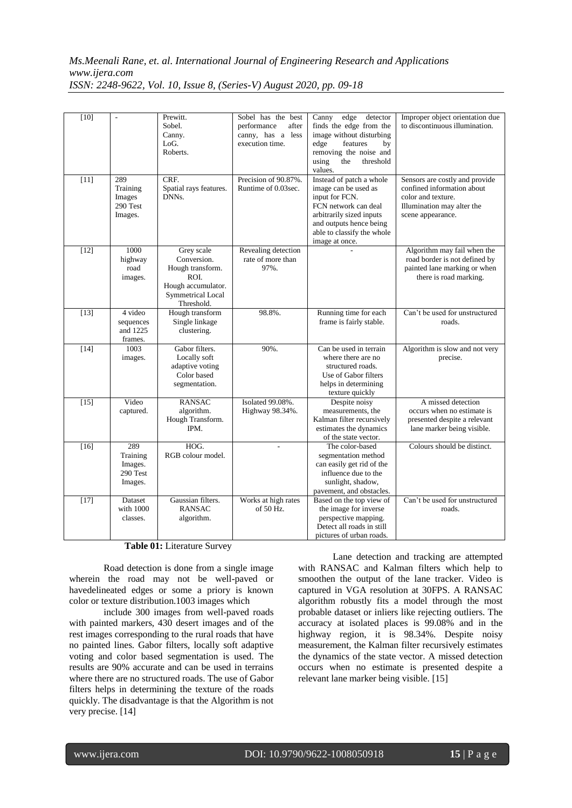| $[10]$ | L,                                                | Prewitt.<br>Sobel.<br>Canny.<br>LoG.<br>Roberts.                                                              | Sobel has the best<br>performance<br>after<br>canny, has a less<br>execution time. | edge detector<br>Canny<br>finds the edge from the<br>image without disturbing<br>edge<br>features<br>by<br>removing the noise and<br>using<br>the<br>threshold<br>values.                         | Improper object orientation due<br>to discontinuous illumination.                                                                     |
|--------|---------------------------------------------------|---------------------------------------------------------------------------------------------------------------|------------------------------------------------------------------------------------|---------------------------------------------------------------------------------------------------------------------------------------------------------------------------------------------------|---------------------------------------------------------------------------------------------------------------------------------------|
| $[11]$ | 289<br>Training<br>Images<br>290 Test<br>Images.  | CRF.<br>Spatial rays features.<br>DNNs.                                                                       | Precision of 90.87%.<br>Runtime of 0.03sec.                                        | Instead of patch a whole<br>image can be used as<br>input for FCN.<br>FCN network can deal<br>arbitrarily sized inputs<br>and outputs hence being<br>able to classify the whole<br>image at once. | Sensors are costly and provide<br>confined information about<br>color and texture.<br>Illumination may alter the<br>scene appearance. |
| $[12]$ | 1000<br>highway<br>road<br>images.                | Grey scale<br>Conversion.<br>Hough transform.<br>ROL<br>Hough accumulator.<br>Symmetrical Local<br>Threshold. | Revealing detection<br>rate of more than<br>97%.                                   |                                                                                                                                                                                                   | Algorithm may fail when the<br>road border is not defined by<br>painted lane marking or when<br>there is road marking.                |
| $[13]$ | 4 video<br>sequences<br>and 1225<br>frames.       | Hough transform<br>Single linkage<br>clustering.                                                              | 98.8%.                                                                             | Running time for each<br>frame is fairly stable.                                                                                                                                                  | Can't be used for unstructured<br>roads.                                                                                              |
| $[14]$ | 1003<br>images.                                   | Gabor filters.<br>Locally soft<br>adaptive voting<br>Color based<br>segmentation.                             | 90%.                                                                               | Can be used in terrain<br>where there are no<br>structured roads.<br>Use of Gabor filters<br>helps in determining<br>texture quickly                                                              | Algorithm is slow and not very<br>precise.                                                                                            |
| $[15]$ | Video<br>captured.                                | <b>RANSAC</b><br>algorithm.<br>Hough Transform.<br>IPM.                                                       | Isolated 99.08%.<br>Highway 98.34%.                                                | Despite noisy<br>measurements, the<br>Kalman filter recursively<br>estimates the dynamics<br>of the state vector.                                                                                 | A missed detection<br>occurs when no estimate is<br>presented despite a relevant<br>lane marker being visible.                        |
| $[16]$ | 289<br>Training<br>Images.<br>290 Test<br>Images. | HOG.<br>RGB colour model.                                                                                     |                                                                                    | The color-based<br>segmentation method<br>can easily get rid of the<br>influence due to the<br>sunlight, shadow,<br>pavement, and obstacles.                                                      | Colours should be distinct.                                                                                                           |
| $[17]$ | Dataset<br>with 1000<br>classes.                  | Gaussian filters.<br><b>RANSAC</b><br>algorithm.                                                              | Works at high rates<br>of 50 Hz.                                                   | Based on the top view of<br>the image for inverse<br>perspective mapping.<br>Detect all roads in still<br>pictures of urban roads.                                                                | Can't be used for unstructured<br>roads.                                                                                              |

**Table 01:** Literature Survey

Road detection is done from a single image wherein the road may not be well-paved or havedelineated edges or some a priory is known color or texture distribution.1003 images which

include 300 images from well-paved roads with painted markers, 430 desert images and of the rest images corresponding to the rural roads that have no painted lines. Gabor filters, locally soft adaptive voting and color based segmentation is used. The results are 90% accurate and can be used in terrains where there are no structured roads. The use of Gabor filters helps in determining the texture of the roads quickly. The disadvantage is that the Algorithm is not very precise. [14]

Lane detection and tracking are attempted with RANSAC and Kalman filters which help to smoothen the output of the lane tracker. Video is captured in VGA resolution at 30FPS. A RANSAC algorithm robustly fits a model through the most probable dataset or inliers like rejecting outliers. The accuracy at isolated places is 99.08% and in the highway region, it is 98.34%. Despite noisy measurement, the Kalman filter recursively estimates the dynamics of the state vector. A missed detection occurs when no estimate is presented despite a relevant lane marker being visible. [15]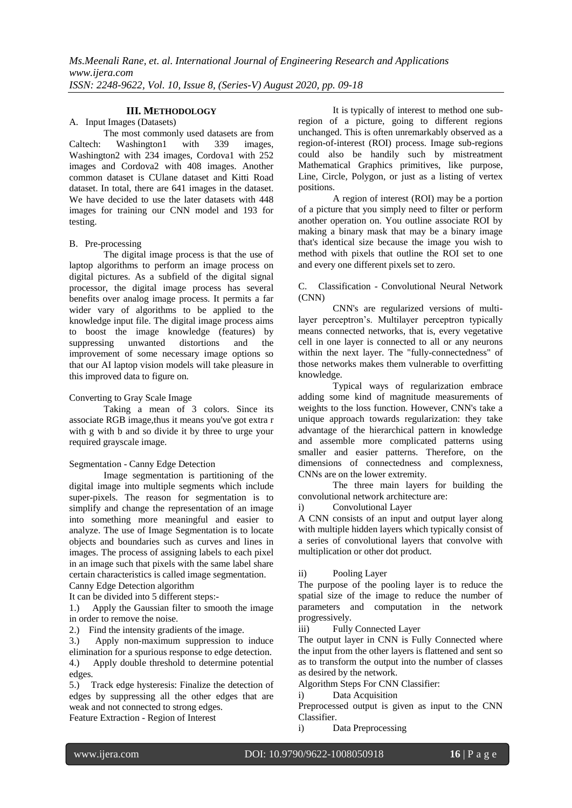# **III. METHODOLOGY**

A. Input Images (Datasets)

The most commonly used datasets are from Caltech: Washington1 with 339 images, Washington2 with 234 images, Cordova1 with 252 images and Cordova2 with 408 images. Another common dataset is CUlane dataset and Kitti Road dataset. In total, there are 641 images in the dataset. We have decided to use the later datasets with 448 images for training our CNN model and 193 for testing.

#### B. Pre-processing

The digital image process is that the use of laptop algorithms to perform an image process on digital pictures. As a subfield of the digital signal processor, the digital image process has several benefits over analog image process. It permits a far wider vary of algorithms to be applied to the knowledge input file. The digital image process aims to boost the image knowledge (features) by suppressing unwanted distortions and the improvement of some necessary image options so that our AI laptop vision models will take pleasure in this improved data to figure on.

## Converting to Gray Scale Image

Taking a mean of 3 colors. Since its associate RGB image,thus it means you've got extra r with g with b and so divide it by three to urge your required grayscale image.

#### Segmentation - Canny Edge Detection

Image segmentation is partitioning of the digital image into multiple segments which include super-pixels. The reason for segmentation is to simplify and change the representation of an image into something more meaningful and easier to analyze. The use of Image Segmentation is to locate objects and boundaries such as curves and lines in images. The process of assigning labels to each pixel in an image such that pixels with the same label share certain characteristics is called image segmentation. Canny Edge Detection algorithm

It can be divided into 5 different steps:-

1.) Apply the Gaussian filter to smooth the image in order to remove the noise.

2.) Find the intensity gradients of the image.

3.) Apply non-maximum suppression to induce elimination for a spurious response to edge detection.

4.) Apply double threshold to determine potential edges.

5.) Track edge hysteresis: Finalize the detection of edges by suppressing all the other edges that are weak and not connected to strong edges. Feature Extraction - Region of Interest

It is typically of interest to method one subregion of a picture, going to different regions unchanged. This is often unremarkably observed as a region-of-interest (ROI) process. Image sub-regions could also be handily such by mistreatment Mathematical Graphics primitives, like purpose, Line, Circle, Polygon, or just as a listing of vertex positions.

A region of interest (ROI) may be a portion of a picture that you simply need to filter or perform another operation on. You outline associate ROI by making a binary mask that may be a binary image that's identical size because the image you wish to method with pixels that outline the ROI set to one and every one different pixels set to zero.

C. Classification - Convolutional Neural Network (CNN)

CNN's are regularized versions of multilayer perceptron's. Multilayer perceptron typically means connected networks, that is, every vegetative cell in one layer is connected to all or any neurons within the next layer. The "fully-connectedness" of those networks makes them vulnerable to overfitting knowledge.

Typical ways of regularization embrace adding some kind of magnitude measurements of weights to the loss function. However, CNN's take a unique approach towards regularization: they take advantage of the hierarchical pattern in knowledge and assemble more complicated patterns using smaller and easier patterns. Therefore, on the dimensions of connectedness and complexness, CNNs are on the lower extremity.

The three main layers for building the convolutional network architecture are:

i) Convolutional Layer

A CNN consists of an input and output layer along with multiple hidden layers which typically consist of a series of convolutional layers that convolve with multiplication or other dot product.

#### ii) Pooling Layer

The purpose of the pooling layer is to reduce the spatial size of the image to reduce the number of parameters and computation in the network progressively.

iii) Fully Connected Layer

The output layer in CNN is Fully Connected where the input from the other layers is flattened and sent so as to transform the output into the number of classes as desired by the network.

Algorithm Steps For CNN Classifier:

i) Data Acquisition

Preprocessed output is given as input to the CNN Classifier.

i) Data Preprocessing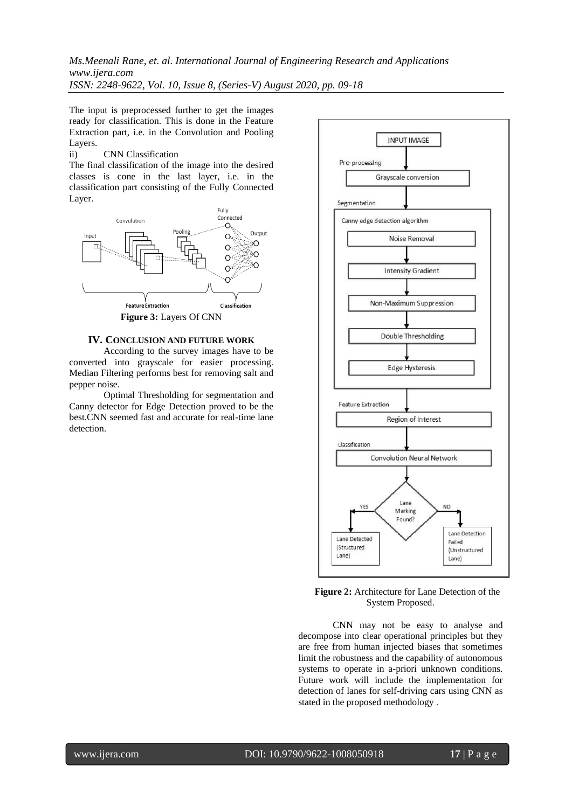The input is preprocessed further to get the images ready for classification. This is done in the Feature Extraction part, i.e. in the Convolution and Pooling Layers.<br>ii)

## **CNN Classification**

The final classification of the image into the desired classes is cone in the last layer, i.e. in the classification part consisting of the Fully Connected Layer.



#### **IV. CONCLUSION AND FUTURE WORK**

According to the survey images have to be converted into grayscale for easier processing. Median Filtering performs best for removing salt and pepper noise.

Optimal Thresholding for segmentation and Canny detector for Edge Detection proved to be the best.CNN seemed fast and accurate for real-time lane detection.



#### **Figure 2:** Architecture for Lane Detection of the System Proposed.

CNN may not be easy to analyse and decompose into clear operational principles but they are free from human injected biases that sometimes limit the robustness and the capability of autonomous systems to operate in a-priori unknown conditions. Future work will include the implementation for detection of lanes for self-driving cars using CNN as stated in the proposed methodology .